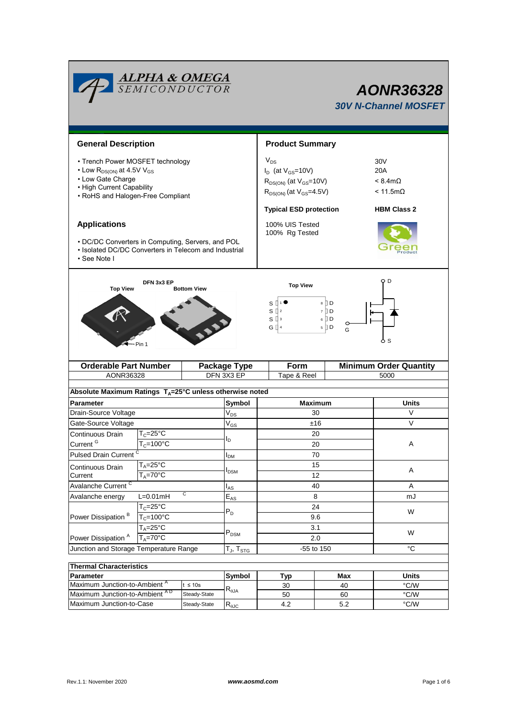| <b>Product Summary</b><br><b>General Description</b><br>$V_{DS}$<br>• Trench Power MOSFET technology<br>30 <sub>V</sub><br>$\cdot$ Low R <sub>DS(ON)</sub> at 4.5V V <sub>GS</sub><br>$I_D$ (at $V_{GS}$ =10V)<br>20A<br>• Low Gate Charge<br>$R_{DS(ON)}$ (at $V_{GS}$ =10V)<br>$< 8.4$ m $\Omega$<br>• High Current Capability<br>$R_{DS(ON)}$ (at $V_{GS}$ =4.5V)<br>$< 11.5 \text{m}\Omega$<br>• RoHS and Halogen-Free Compliant<br><b>Typical ESD protection</b><br><b>HBM Class 2</b><br><b>Applications</b><br>100% UIS Tested<br>100% Rg Tested<br>• DC/DC Converters in Computing, Servers, and POL<br>• Isolated DC/DC Converters in Telecom and Industrial<br>• See Note I<br>Q D<br>DFN 3x3 EP<br><b>Top View</b><br><b>Top View</b><br><b>Bottom View</b><br>8 ∏D<br>s L<br>s₫<br>7 D D<br>6 I D<br>$S^{13}$<br>◡<br>$5$ D<br>G []<br>G<br>ბs<br>- Pin 1<br><b>Orderable Part Number</b><br><b>Minimum Order Quantity</b><br>Form<br><b>Package Type</b><br>DFN 3X3 EP<br>AONR36328<br>Tape & Reel<br>5000<br>Absolute Maximum Ratings $T_A = 25^\circ \text{C}$ unless otherwise noted<br><b>Parameter</b><br>Symbol<br><b>Maximum</b><br><b>Units</b><br>Drain-Source Voltage<br>V<br>30<br>$\mathsf{V}_{\mathsf{DS}}$<br>$\vee$<br>Gate-Source Voltage<br>$V_{GS}$<br>±16<br>$T_c = 25$ °C<br>Continuous Drain<br>20<br>l <sub>D</sub><br>Current <sup>G</sup><br>$T_c = 100$ °C<br>20<br>Α<br>Pulsed Drain Current <sup>C</sup><br>70<br>$I_{DM}$<br>$T_A = 25$ °C<br>15<br>Continuous Drain<br>Α<br>I <sub>DSM</sub><br>$T_A = 70$ °C<br>12<br>Current<br>Avalanche Current <sup>C</sup><br>40<br>Α<br>$I_{AS}$<br>C<br>$L=0.01mH$<br>$\mathsf{E}_{\mathsf{AS}}$<br>8<br>Avalanche energy<br>mJ<br>$T_c = 25$ °C<br>24<br>$\mathsf{P}_\mathsf{D}$<br>W<br>$T_c = 100^{\circ}$ C<br>Power Dissipation <sup>B</sup><br>9.6<br>$T_A = 25$ °C<br>3.1<br>$P_{DSM}$<br>W<br>Power Dissipation <sup>A</sup><br>$T_A = 70$ °C<br>2.0<br>$^{\circ}C$<br>-55 to 150<br>Junction and Storage Temperature Range<br>$T_J$ , $T_{STG}$<br><b>Thermal Characteristics</b><br>Symbol<br><b>Units</b><br><b>Parameter</b><br><b>Typ</b><br>Max<br>Maximum Junction-to-Ambient <sup>A</sup><br>$\degree$ C/W<br>$t \leq 10s$<br>30<br>40<br>$\textsf{R}_{\theta\textsf{JA}}$<br>Maximum Junction-to-Ambient AD<br>$\degree$ C/W<br>Steady-State<br>50<br>60 |                          | <b>ALPHA &amp; OMEGA</b><br>SEMICONDUCTOR |              |                                    |  |     |  |     | AONR36328<br><b>30V N-Channel MOSFET</b> |  |  |
|-------------------------------------------------------------------------------------------------------------------------------------------------------------------------------------------------------------------------------------------------------------------------------------------------------------------------------------------------------------------------------------------------------------------------------------------------------------------------------------------------------------------------------------------------------------------------------------------------------------------------------------------------------------------------------------------------------------------------------------------------------------------------------------------------------------------------------------------------------------------------------------------------------------------------------------------------------------------------------------------------------------------------------------------------------------------------------------------------------------------------------------------------------------------------------------------------------------------------------------------------------------------------------------------------------------------------------------------------------------------------------------------------------------------------------------------------------------------------------------------------------------------------------------------------------------------------------------------------------------------------------------------------------------------------------------------------------------------------------------------------------------------------------------------------------------------------------------------------------------------------------------------------------------------------------------------------------------------------------------------------------------------------------------------------------------------------------------------------------------------------------------------------------------------------------------------------------------------------------------------------------------------------------------------------------------------------------------------------------------|--------------------------|-------------------------------------------|--------------|------------------------------------|--|-----|--|-----|------------------------------------------|--|--|
|                                                                                                                                                                                                                                                                                                                                                                                                                                                                                                                                                                                                                                                                                                                                                                                                                                                                                                                                                                                                                                                                                                                                                                                                                                                                                                                                                                                                                                                                                                                                                                                                                                                                                                                                                                                                                                                                                                                                                                                                                                                                                                                                                                                                                                                                                                                                                             |                          |                                           |              |                                    |  |     |  |     |                                          |  |  |
|                                                                                                                                                                                                                                                                                                                                                                                                                                                                                                                                                                                                                                                                                                                                                                                                                                                                                                                                                                                                                                                                                                                                                                                                                                                                                                                                                                                                                                                                                                                                                                                                                                                                                                                                                                                                                                                                                                                                                                                                                                                                                                                                                                                                                                                                                                                                                             |                          |                                           |              |                                    |  |     |  |     |                                          |  |  |
|                                                                                                                                                                                                                                                                                                                                                                                                                                                                                                                                                                                                                                                                                                                                                                                                                                                                                                                                                                                                                                                                                                                                                                                                                                                                                                                                                                                                                                                                                                                                                                                                                                                                                                                                                                                                                                                                                                                                                                                                                                                                                                                                                                                                                                                                                                                                                             |                          |                                           |              |                                    |  |     |  |     |                                          |  |  |
|                                                                                                                                                                                                                                                                                                                                                                                                                                                                                                                                                                                                                                                                                                                                                                                                                                                                                                                                                                                                                                                                                                                                                                                                                                                                                                                                                                                                                                                                                                                                                                                                                                                                                                                                                                                                                                                                                                                                                                                                                                                                                                                                                                                                                                                                                                                                                             |                          |                                           |              |                                    |  |     |  |     |                                          |  |  |
|                                                                                                                                                                                                                                                                                                                                                                                                                                                                                                                                                                                                                                                                                                                                                                                                                                                                                                                                                                                                                                                                                                                                                                                                                                                                                                                                                                                                                                                                                                                                                                                                                                                                                                                                                                                                                                                                                                                                                                                                                                                                                                                                                                                                                                                                                                                                                             |                          |                                           |              |                                    |  |     |  |     |                                          |  |  |
|                                                                                                                                                                                                                                                                                                                                                                                                                                                                                                                                                                                                                                                                                                                                                                                                                                                                                                                                                                                                                                                                                                                                                                                                                                                                                                                                                                                                                                                                                                                                                                                                                                                                                                                                                                                                                                                                                                                                                                                                                                                                                                                                                                                                                                                                                                                                                             |                          |                                           |              |                                    |  |     |  |     |                                          |  |  |
|                                                                                                                                                                                                                                                                                                                                                                                                                                                                                                                                                                                                                                                                                                                                                                                                                                                                                                                                                                                                                                                                                                                                                                                                                                                                                                                                                                                                                                                                                                                                                                                                                                                                                                                                                                                                                                                                                                                                                                                                                                                                                                                                                                                                                                                                                                                                                             |                          |                                           |              |                                    |  |     |  |     |                                          |  |  |
|                                                                                                                                                                                                                                                                                                                                                                                                                                                                                                                                                                                                                                                                                                                                                                                                                                                                                                                                                                                                                                                                                                                                                                                                                                                                                                                                                                                                                                                                                                                                                                                                                                                                                                                                                                                                                                                                                                                                                                                                                                                                                                                                                                                                                                                                                                                                                             |                          |                                           |              |                                    |  |     |  |     |                                          |  |  |
|                                                                                                                                                                                                                                                                                                                                                                                                                                                                                                                                                                                                                                                                                                                                                                                                                                                                                                                                                                                                                                                                                                                                                                                                                                                                                                                                                                                                                                                                                                                                                                                                                                                                                                                                                                                                                                                                                                                                                                                                                                                                                                                                                                                                                                                                                                                                                             |                          |                                           |              |                                    |  |     |  |     |                                          |  |  |
|                                                                                                                                                                                                                                                                                                                                                                                                                                                                                                                                                                                                                                                                                                                                                                                                                                                                                                                                                                                                                                                                                                                                                                                                                                                                                                                                                                                                                                                                                                                                                                                                                                                                                                                                                                                                                                                                                                                                                                                                                                                                                                                                                                                                                                                                                                                                                             |                          |                                           |              |                                    |  |     |  |     |                                          |  |  |
|                                                                                                                                                                                                                                                                                                                                                                                                                                                                                                                                                                                                                                                                                                                                                                                                                                                                                                                                                                                                                                                                                                                                                                                                                                                                                                                                                                                                                                                                                                                                                                                                                                                                                                                                                                                                                                                                                                                                                                                                                                                                                                                                                                                                                                                                                                                                                             |                          |                                           |              |                                    |  |     |  |     |                                          |  |  |
|                                                                                                                                                                                                                                                                                                                                                                                                                                                                                                                                                                                                                                                                                                                                                                                                                                                                                                                                                                                                                                                                                                                                                                                                                                                                                                                                                                                                                                                                                                                                                                                                                                                                                                                                                                                                                                                                                                                                                                                                                                                                                                                                                                                                                                                                                                                                                             |                          |                                           |              |                                    |  |     |  |     |                                          |  |  |
|                                                                                                                                                                                                                                                                                                                                                                                                                                                                                                                                                                                                                                                                                                                                                                                                                                                                                                                                                                                                                                                                                                                                                                                                                                                                                                                                                                                                                                                                                                                                                                                                                                                                                                                                                                                                                                                                                                                                                                                                                                                                                                                                                                                                                                                                                                                                                             |                          |                                           |              |                                    |  |     |  |     |                                          |  |  |
|                                                                                                                                                                                                                                                                                                                                                                                                                                                                                                                                                                                                                                                                                                                                                                                                                                                                                                                                                                                                                                                                                                                                                                                                                                                                                                                                                                                                                                                                                                                                                                                                                                                                                                                                                                                                                                                                                                                                                                                                                                                                                                                                                                                                                                                                                                                                                             |                          |                                           |              |                                    |  |     |  |     |                                          |  |  |
|                                                                                                                                                                                                                                                                                                                                                                                                                                                                                                                                                                                                                                                                                                                                                                                                                                                                                                                                                                                                                                                                                                                                                                                                                                                                                                                                                                                                                                                                                                                                                                                                                                                                                                                                                                                                                                                                                                                                                                                                                                                                                                                                                                                                                                                                                                                                                             |                          |                                           |              |                                    |  |     |  |     |                                          |  |  |
|                                                                                                                                                                                                                                                                                                                                                                                                                                                                                                                                                                                                                                                                                                                                                                                                                                                                                                                                                                                                                                                                                                                                                                                                                                                                                                                                                                                                                                                                                                                                                                                                                                                                                                                                                                                                                                                                                                                                                                                                                                                                                                                                                                                                                                                                                                                                                             |                          |                                           |              |                                    |  |     |  |     |                                          |  |  |
|                                                                                                                                                                                                                                                                                                                                                                                                                                                                                                                                                                                                                                                                                                                                                                                                                                                                                                                                                                                                                                                                                                                                                                                                                                                                                                                                                                                                                                                                                                                                                                                                                                                                                                                                                                                                                                                                                                                                                                                                                                                                                                                                                                                                                                                                                                                                                             |                          |                                           |              |                                    |  |     |  |     |                                          |  |  |
|                                                                                                                                                                                                                                                                                                                                                                                                                                                                                                                                                                                                                                                                                                                                                                                                                                                                                                                                                                                                                                                                                                                                                                                                                                                                                                                                                                                                                                                                                                                                                                                                                                                                                                                                                                                                                                                                                                                                                                                                                                                                                                                                                                                                                                                                                                                                                             |                          |                                           |              |                                    |  |     |  |     |                                          |  |  |
|                                                                                                                                                                                                                                                                                                                                                                                                                                                                                                                                                                                                                                                                                                                                                                                                                                                                                                                                                                                                                                                                                                                                                                                                                                                                                                                                                                                                                                                                                                                                                                                                                                                                                                                                                                                                                                                                                                                                                                                                                                                                                                                                                                                                                                                                                                                                                             |                          |                                           |              |                                    |  |     |  |     |                                          |  |  |
|                                                                                                                                                                                                                                                                                                                                                                                                                                                                                                                                                                                                                                                                                                                                                                                                                                                                                                                                                                                                                                                                                                                                                                                                                                                                                                                                                                                                                                                                                                                                                                                                                                                                                                                                                                                                                                                                                                                                                                                                                                                                                                                                                                                                                                                                                                                                                             |                          |                                           |              |                                    |  |     |  |     |                                          |  |  |
|                                                                                                                                                                                                                                                                                                                                                                                                                                                                                                                                                                                                                                                                                                                                                                                                                                                                                                                                                                                                                                                                                                                                                                                                                                                                                                                                                                                                                                                                                                                                                                                                                                                                                                                                                                                                                                                                                                                                                                                                                                                                                                                                                                                                                                                                                                                                                             |                          |                                           |              |                                    |  |     |  |     |                                          |  |  |
|                                                                                                                                                                                                                                                                                                                                                                                                                                                                                                                                                                                                                                                                                                                                                                                                                                                                                                                                                                                                                                                                                                                                                                                                                                                                                                                                                                                                                                                                                                                                                                                                                                                                                                                                                                                                                                                                                                                                                                                                                                                                                                                                                                                                                                                                                                                                                             |                          |                                           |              |                                    |  |     |  |     |                                          |  |  |
|                                                                                                                                                                                                                                                                                                                                                                                                                                                                                                                                                                                                                                                                                                                                                                                                                                                                                                                                                                                                                                                                                                                                                                                                                                                                                                                                                                                                                                                                                                                                                                                                                                                                                                                                                                                                                                                                                                                                                                                                                                                                                                                                                                                                                                                                                                                                                             |                          |                                           |              |                                    |  |     |  |     |                                          |  |  |
|                                                                                                                                                                                                                                                                                                                                                                                                                                                                                                                                                                                                                                                                                                                                                                                                                                                                                                                                                                                                                                                                                                                                                                                                                                                                                                                                                                                                                                                                                                                                                                                                                                                                                                                                                                                                                                                                                                                                                                                                                                                                                                                                                                                                                                                                                                                                                             |                          |                                           |              |                                    |  |     |  |     |                                          |  |  |
|                                                                                                                                                                                                                                                                                                                                                                                                                                                                                                                                                                                                                                                                                                                                                                                                                                                                                                                                                                                                                                                                                                                                                                                                                                                                                                                                                                                                                                                                                                                                                                                                                                                                                                                                                                                                                                                                                                                                                                                                                                                                                                                                                                                                                                                                                                                                                             |                          |                                           |              |                                    |  |     |  |     |                                          |  |  |
|                                                                                                                                                                                                                                                                                                                                                                                                                                                                                                                                                                                                                                                                                                                                                                                                                                                                                                                                                                                                                                                                                                                                                                                                                                                                                                                                                                                                                                                                                                                                                                                                                                                                                                                                                                                                                                                                                                                                                                                                                                                                                                                                                                                                                                                                                                                                                             |                          |                                           |              |                                    |  |     |  |     |                                          |  |  |
|                                                                                                                                                                                                                                                                                                                                                                                                                                                                                                                                                                                                                                                                                                                                                                                                                                                                                                                                                                                                                                                                                                                                                                                                                                                                                                                                                                                                                                                                                                                                                                                                                                                                                                                                                                                                                                                                                                                                                                                                                                                                                                                                                                                                                                                                                                                                                             | Maximum Junction-to-Case |                                           | Steady-State | $R_{\theta \underline{\text{UC}}}$ |  | 4.2 |  | 5.2 | $^{\circ}$ C/W                           |  |  |

Г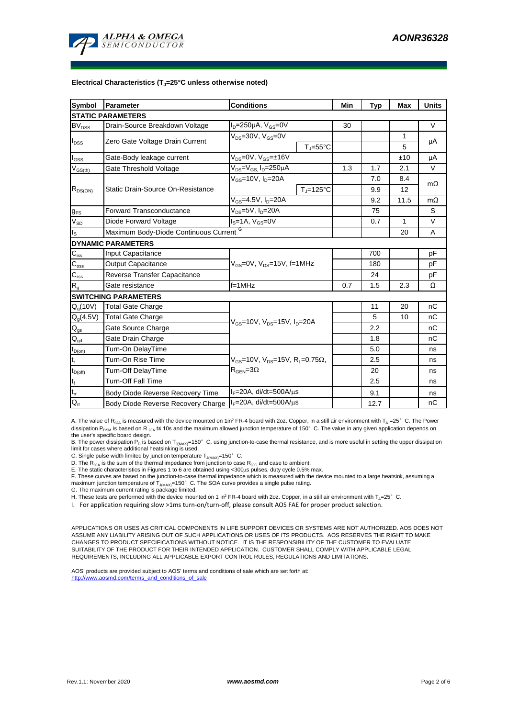

#### **Electrical Characteristics (TJ=25°C unless otherwise noted)**

| Symbol                                 | Parameter<br><b>Conditions</b>                             |                                                                                             |                                                       |     | <b>Typ</b> | <b>Max</b> | <b>Units</b> |  |  |  |  |  |
|----------------------------------------|------------------------------------------------------------|---------------------------------------------------------------------------------------------|-------------------------------------------------------|-----|------------|------------|--------------|--|--|--|--|--|
| <b>STATIC PARAMETERS</b>               |                                                            |                                                                                             |                                                       |     |            |            |              |  |  |  |  |  |
| $\mathsf{BV}_{\mathsf{DSS}}$           | Drain-Source Breakdown Voltage                             | $I_D = 250 \mu A$ , $V_{GS} = 0V$                                                           | 30                                                    |     |            | $\vee$     |              |  |  |  |  |  |
| $I_{DSS}$                              | Zero Gate Voltage Drain Current                            | $V_{DS} = 30V$ , $V_{GS} = 0V$                                                              |                                                       |     | 1          | μA         |              |  |  |  |  |  |
|                                        |                                                            |                                                                                             | $T_{\parallel} = 55^{\circ}C$                         |     |            | 5          |              |  |  |  |  |  |
| $I_{GSS}$                              | Gate-Body leakage current                                  | $V_{DS} = 0V$ , $V_{GS} = \pm 16V$                                                          |                                                       |     |            | ±10        | μA           |  |  |  |  |  |
| $V_{GS(th)}$                           | Gate Threshold Voltage                                     | V <sub>DS</sub> =V <sub>GS.</sub> I <sub>D</sub> =250µA                                     |                                                       | 1.3 | 1.7        | 2.1        | V            |  |  |  |  |  |
| $R_{DS(ON)}$                           |                                                            | $V_{\text{cs}}$ =10V, $I_{\text{D}}$ =20A                                                   |                                                       |     | 7.0        | 8.4        | $m\Omega$    |  |  |  |  |  |
|                                        | Static Drain-Source On-Resistance                          |                                                                                             | $T_{\rm J}$ =125°C                                    |     | 9.9        | 12         |              |  |  |  |  |  |
|                                        |                                                            | $V_{GS}$ =4.5V, $I_D$ =20A                                                                  |                                                       | 9.2 | 11.5       | $m\Omega$  |              |  |  |  |  |  |
| $g_{FS}$                               | <b>Forward Transconductance</b>                            | $V_{DS} = 5V$ , $I_D = 20A$                                                                 |                                                       | 75  |            | S          |              |  |  |  |  |  |
| $V_{SD}$                               | Diode Forward Voltage                                      | $IS=1A, VGS=0V$                                                                             |                                                       | 0.7 | 1          | V          |              |  |  |  |  |  |
| $I_{\rm S}$                            | Maximum Body-Diode Continuous Current G                    |                                                                                             |                                                       | 20  | A          |            |              |  |  |  |  |  |
| <b>DYNAMIC PARAMETERS</b>              |                                                            |                                                                                             |                                                       |     |            |            |              |  |  |  |  |  |
| $\mathbf{C}_{\text{iss}}$              | Input Capacitance                                          |                                                                                             |                                                       |     | 700        |            | pF           |  |  |  |  |  |
| $C_{\rm oss}$                          | Output Capacitance                                         |                                                                                             | $V_{\text{GS}} = 0V$ , $V_{\text{DS}} = 15V$ , f=1MHz |     |            |            | pF           |  |  |  |  |  |
| $\mathsf{C}_{\mathsf{rss}}$            | Reverse Transfer Capacitance                               |                                                                                             |                                                       |     | 24         |            | pF           |  |  |  |  |  |
| $\mathsf{R}_{\mathsf{g}}$              | Gate resistance                                            | $f=1$ MHz                                                                                   |                                                       | 0.7 | 1.5        | 2.3        | Ω            |  |  |  |  |  |
|                                        | <b>SWITCHING PARAMETERS</b>                                |                                                                                             |                                                       |     |            |            |              |  |  |  |  |  |
| $Q_g(10V)$                             | <b>Total Gate Charge</b>                                   |                                                                                             |                                                       |     | 11         | 20         | nC           |  |  |  |  |  |
| $Q_g(4.5V)$                            | <b>Total Gate Charge</b>                                   | $V_{\text{GS}} = 10V$ , $V_{\text{DS}} = 15V$ , $I_{\text{D}} = 20A$                        |                                                       |     | 5          | 10         | nC           |  |  |  |  |  |
| $\mathsf{Q}_{\text{gs}}$               | Gate Source Charge                                         |                                                                                             |                                                       |     | 2.2        |            | nC           |  |  |  |  |  |
| $\mathsf{Q}_{\underline{\mathsf{gd}}}$ | Gate Drain Charge                                          |                                                                                             |                                                       |     | 1.8        |            | nC           |  |  |  |  |  |
| $t_{D(on)}$                            | Turn-On DelayTime                                          |                                                                                             |                                                       |     | 5.0        |            | ns           |  |  |  |  |  |
| $t_r$                                  | Turn-On Rise Time                                          | $V_{GS}$ =10V, $V_{DS}$ =15V, R <sub>L</sub> =0.75 $\Omega$ ,<br>$R_{\text{GFN}} = 3\Omega$ |                                                       |     | 2.5        |            | ns           |  |  |  |  |  |
| $t_{D(off)}$                           | Turn-Off DelayTime                                         |                                                                                             |                                                       |     | 20         |            | ns           |  |  |  |  |  |
| $\mathsf{t}_{\mathsf{f}}$              | Turn-Off Fall Time                                         |                                                                                             |                                                       |     | 2.5        |            | ns           |  |  |  |  |  |
| $t_{rr}$                               | Body Diode Reverse Recovery Time                           | $IF=20A$ , di/dt=500A/ $\mu$ s                                                              |                                                       |     | 9.1        |            | ns           |  |  |  |  |  |
| $Q_{rr}$                               | Body Diode Reverse Recovery Charge   IF=20A, di/dt=500A/µs |                                                                                             |                                                       |     | 12.7       |            | nC           |  |  |  |  |  |

A. The value of R<sub>BJA</sub> is measured with the device mounted on 1in<sup>2</sup> FR-4 board with 2oz. Copper, in a still air environment with T<sub>A</sub> =25°C. The Power dissipation P<sub>DSM</sub> is based on R <sub>0JA</sub> t≤ 10s and the maximum allowed junction temperature of 150°C. The value in any given application depends on the user's specific board design.

B. The power dissipation P<sub>D</sub> is based on T<sub>J(MAX)</sub>=150°C, using junction-to-case thermal resistance, and is more useful in setting the upper dissipation limit for cases where additional heatsinking is used.

C. Single pulse width limited by junction temperature  $T_{J(MAX)}$ =150°C.

D. The R<sub>θJA</sub> is the sum of the thermal impedance from junction to case R<sub>θJC</sub> and case to ambient.<br>E. The static characteristics in Figures 1 to 6 are obtained using <300μs pulses, duty cycle 0.5% max.<br>F. These curves a maximum junction temperature of  $T_{J(MAX)}$ =150°C. The SOA curve provides a single pulse rating.

G. The maximum current rating is package limited.

H. These tests are performed with the device mounted on 1 in<sup>2</sup> FR-4 board with 2oz. Copper, in a still air environment with T<sub>A</sub>=25°C.

I. For application requiring slow >1ms turn-on/turn-off, please consult AOS FAE for proper product selection.

APPLICATIONS OR USES AS CRITICAL COMPONENTS IN LIFE SUPPORT DEVICES OR SYSTEMS ARE NOT AUTHORIZED. AOS DOES NOT ASSUME ANY LIABILITY ARISING OUT OF SUCH APPLICATIONS OR USES OF ITS PRODUCTS. AOS RESERVES THE RIGHT TO MAKE CHANGES TO PRODUCT SPECIFICATIONS WITHOUT NOTICE. IT IS THE RESPONSIBILITY OF THE CUSTOMER TO EVALUATE SUITABILITY OF THE PRODUCT FOR THEIR INTENDED APPLICATION. CUSTOMER SHALL COMPLY WITH APPLICABLE LEGAL REQUIREMENTS, INCLUDING ALL APPLICABLE EXPORT CONTROL RULES, REGULATIONS AND LIMITATIONS.

AOS' products are provided subject to AOS' terms and conditions of sale which are set forth at: http://www.aosmd.com/terms\_and\_conditions\_of\_sale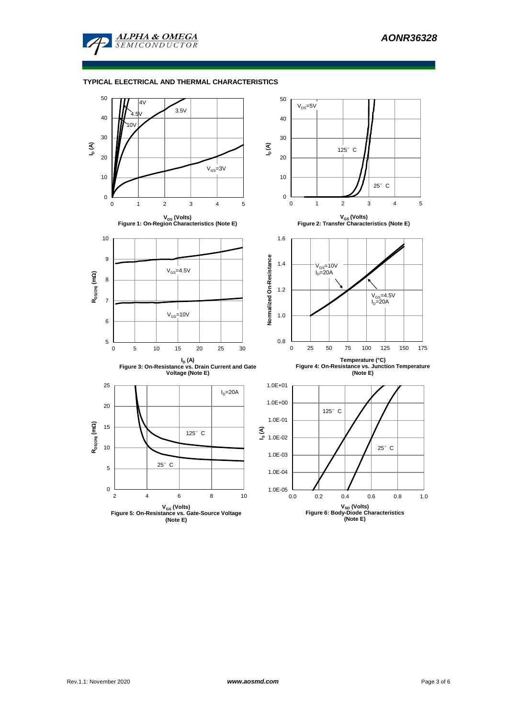

#### **TYPICAL ELECTRICAL AND THERMAL CHARACTERISTICS**

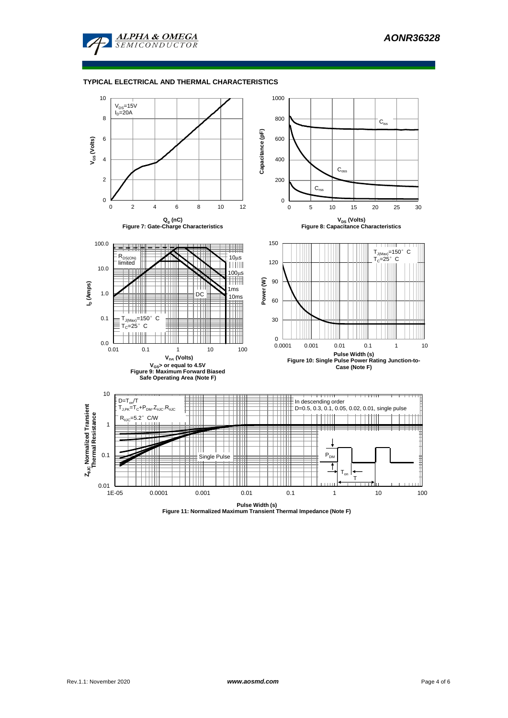

#### **TYPICAL ELECTRICAL AND THERMAL CHARACTERISTICS**

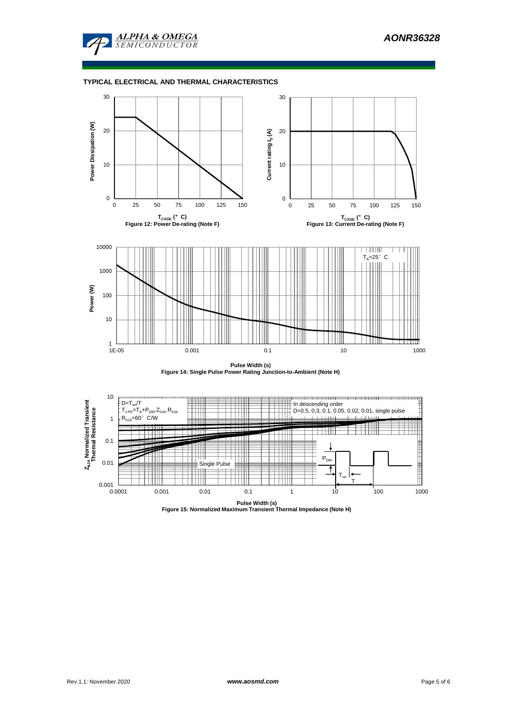

# **TYPICAL ELECTRICAL AND THERMAL CHARACTERISTICS**



**Pulse Width (s) Figure 14: Single Pulse Power Rating Junction-to-Ambient (Note H)**



**Pulse Width (s) Figure 15: Normalized Maximum Transient Thermal Impedance (Note H)**